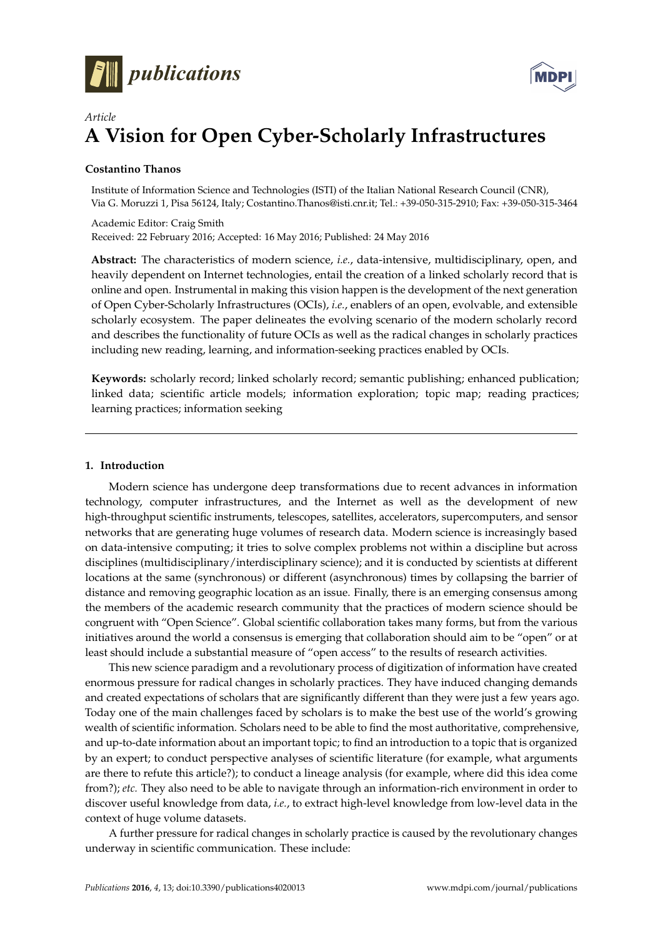



# *Article* **A Vision for Open Cyber-Scholarly Infrastructures**

# **Costantino Thanos**

Institute of Information Science and Technologies (ISTI) of the Italian National Research Council (CNR), Via G. Moruzzi 1, Pisa 56124, Italy; Costantino.Thanos@isti.cnr.it; Tel.: +39-050-315-2910; Fax: +39-050-315-3464

Academic Editor: Craig Smith Received: 22 February 2016; Accepted: 16 May 2016; Published: 24 May 2016

**Abstract:** The characteristics of modern science, *i.e.*, data-intensive, multidisciplinary, open, and heavily dependent on Internet technologies, entail the creation of a linked scholarly record that is online and open. Instrumental in making this vision happen is the development of the next generation of Open Cyber-Scholarly Infrastructures (OCIs), *i.e.*, enablers of an open, evolvable, and extensible scholarly ecosystem. The paper delineates the evolving scenario of the modern scholarly record and describes the functionality of future OCIs as well as the radical changes in scholarly practices including new reading, learning, and information-seeking practices enabled by OCIs.

**Keywords:** scholarly record; linked scholarly record; semantic publishing; enhanced publication; linked data; scientific article models; information exploration; topic map; reading practices; learning practices; information seeking

# **1. Introduction**

Modern science has undergone deep transformations due to recent advances in information technology, computer infrastructures, and the Internet as well as the development of new high-throughput scientific instruments, telescopes, satellites, accelerators, supercomputers, and sensor networks that are generating huge volumes of research data. Modern science is increasingly based on data-intensive computing; it tries to solve complex problems not within a discipline but across disciplines (multidisciplinary/interdisciplinary science); and it is conducted by scientists at different locations at the same (synchronous) or different (asynchronous) times by collapsing the barrier of distance and removing geographic location as an issue. Finally, there is an emerging consensus among the members of the academic research community that the practices of modern science should be congruent with "Open Science". Global scientific collaboration takes many forms, but from the various initiatives around the world a consensus is emerging that collaboration should aim to be "open" or at least should include a substantial measure of "open access" to the results of research activities.

This new science paradigm and a revolutionary process of digitization of information have created enormous pressure for radical changes in scholarly practices. They have induced changing demands and created expectations of scholars that are significantly different than they were just a few years ago. Today one of the main challenges faced by scholars is to make the best use of the world's growing wealth of scientific information. Scholars need to be able to find the most authoritative, comprehensive, and up-to-date information about an important topic; to find an introduction to a topic that is organized by an expert; to conduct perspective analyses of scientific literature (for example, what arguments are there to refute this article?); to conduct a lineage analysis (for example, where did this idea come from?); *etc.* They also need to be able to navigate through an information-rich environment in order to discover useful knowledge from data, *i.e.*, to extract high-level knowledge from low-level data in the context of huge volume datasets.

A further pressure for radical changes in scholarly practice is caused by the revolutionary changes underway in scientific communication. These include: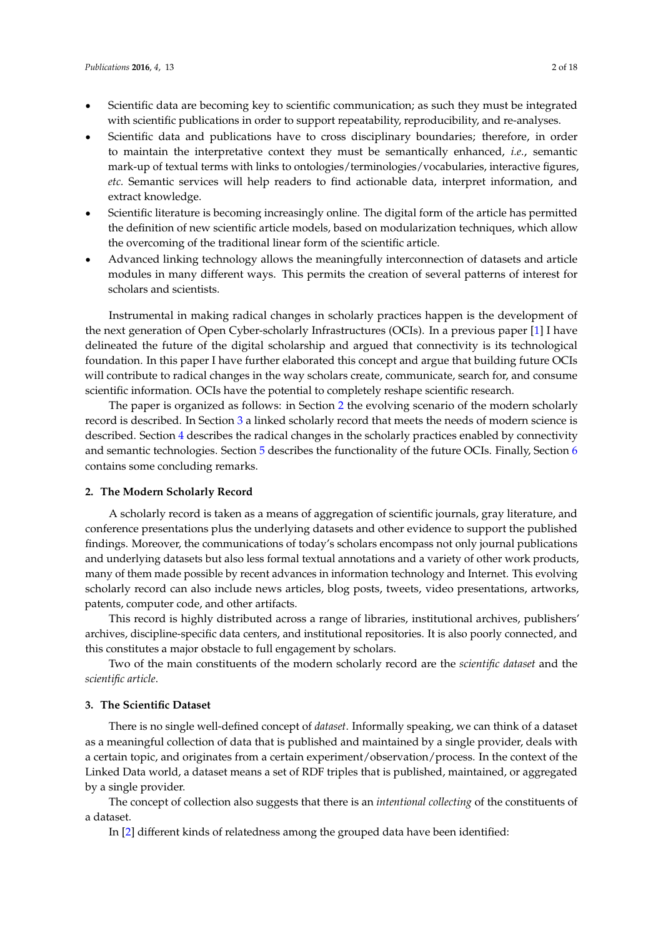- Scientific data are becoming key to scientific communication; as such they must be integrated with scientific publications in order to support repeatability, reproducibility, and re-analyses.
- Scientific data and publications have to cross disciplinary boundaries; therefore, in order to maintain the interpretative context they must be semantically enhanced, *i.e.*, semantic mark-up of textual terms with links to ontologies/terminologies/vocabularies, interactive figures, *etc.* Semantic services will help readers to find actionable data, interpret information, and extract knowledge.
- Scientific literature is becoming increasingly online. The digital form of the article has permitted the definition of new scientific article models, based on modularization techniques, which allow the overcoming of the traditional linear form of the scientific article.
- Advanced linking technology allows the meaningfully interconnection of datasets and article modules in many different ways. This permits the creation of several patterns of interest for scholars and scientists.

Instrumental in making radical changes in scholarly practices happen is the development of the next generation of Open Cyber-scholarly Infrastructures (OCIs). In a previous paper [\[1\]](#page-17-0) I have delineated the future of the digital scholarship and argued that connectivity is its technological foundation. In this paper I have further elaborated this concept and argue that building future OCIs will contribute to radical changes in the way scholars create, communicate, search for, and consume scientific information. OCIs have the potential to completely reshape scientific research.

The paper is organized as follows: in Section [2](#page-1-0) the evolving scenario of the modern scholarly record is described. In Section [3](#page-1-1) a linked scholarly record that meets the needs of modern science is described. Section [4](#page-2-0) describes the radical changes in the scholarly practices enabled by connectivity and semantic technologies. Section [5](#page-4-0) describes the functionality of the future OCIs. Finally, Section [6](#page-4-1) contains some concluding remarks.

## <span id="page-1-0"></span>**2. The Modern Scholarly Record**

A scholarly record is taken as a means of aggregation of scientific journals, gray literature, and conference presentations plus the underlying datasets and other evidence to support the published findings. Moreover, the communications of today's scholars encompass not only journal publications and underlying datasets but also less formal textual annotations and a variety of other work products, many of them made possible by recent advances in information technology and Internet. This evolving scholarly record can also include news articles, blog posts, tweets, video presentations, artworks, patents, computer code, and other artifacts.

This record is highly distributed across a range of libraries, institutional archives, publishers' archives, discipline-specific data centers, and institutional repositories. It is also poorly connected, and this constitutes a major obstacle to full engagement by scholars.

Two of the main constituents of the modern scholarly record are the *scientific dataset* and the *scientific article*.

## <span id="page-1-1"></span>**3. The Scientific Dataset**

There is no single well-defined concept of *dataset*. Informally speaking, we can think of a dataset as a meaningful collection of data that is published and maintained by a single provider, deals with a certain topic, and originates from a certain experiment/observation/process. In the context of the Linked Data world, a dataset means a set of RDF triples that is published, maintained, or aggregated by a single provider.

The concept of collection also suggests that there is an *intentional collecting* of the constituents of a dataset.

In [\[2\]](#page-17-1) different kinds of relatedness among the grouped data have been identified: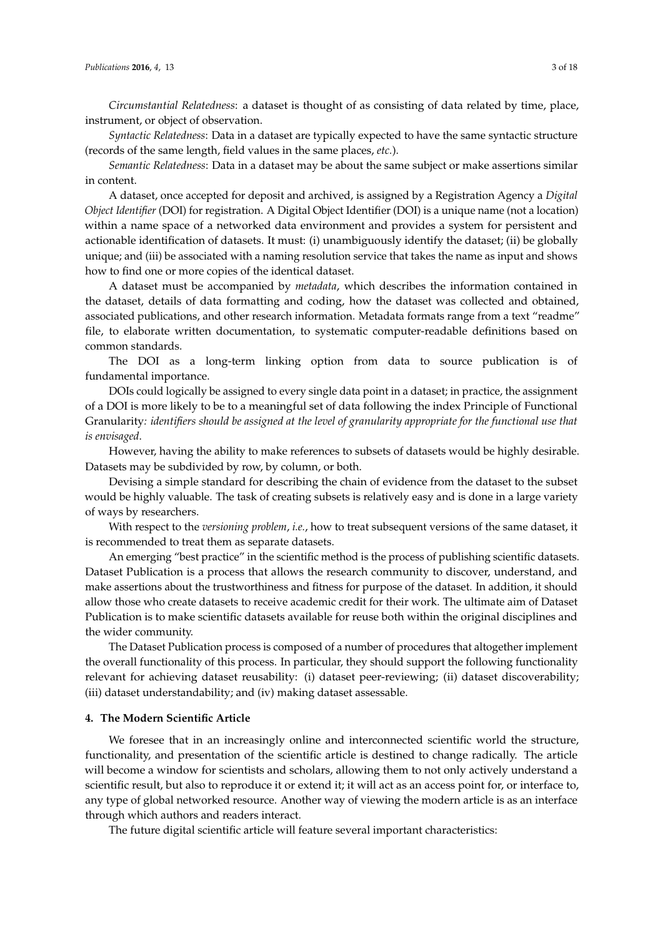*Circumstantial Relatedness*: a dataset is thought of as consisting of data related by time, place, instrument, or object of observation.

*Syntactic Relatedness*: Data in a dataset are typically expected to have the same syntactic structure (records of the same length, field values in the same places, *etc.*).

*Semantic Relatedness*: Data in a dataset may be about the same subject or make assertions similar in content.

A dataset, once accepted for deposit and archived, is assigned by a Registration Agency a *Digital Object Identifier* (DOI) for registration. A Digital Object Identifier (DOI) is a unique name (not a location) within a name space of a networked data environment and provides a system for persistent and actionable identification of datasets. It must: (i) unambiguously identify the dataset; (ii) be globally unique; and (iii) be associated with a naming resolution service that takes the name as input and shows how to find one or more copies of the identical dataset.

A dataset must be accompanied by *metadata*, which describes the information contained in the dataset, details of data formatting and coding, how the dataset was collected and obtained, associated publications, and other research information. Metadata formats range from a text "readme" file, to elaborate written documentation, to systematic computer-readable definitions based on common standards.

The DOI as a long-term linking option from data to source publication is of fundamental importance.

DOIs could logically be assigned to every single data point in a dataset; in practice, the assignment of a DOI is more likely to be to a meaningful set of data following the index Principle of Functional Granularity*: identifiers should be assigned at the level of granularity appropriate for the functional use that is envisaged*.

However, having the ability to make references to subsets of datasets would be highly desirable. Datasets may be subdivided by row, by column, or both.

Devising a simple standard for describing the chain of evidence from the dataset to the subset would be highly valuable. The task of creating subsets is relatively easy and is done in a large variety of ways by researchers.

With respect to the *versioning problem*, *i.e.*, how to treat subsequent versions of the same dataset, it is recommended to treat them as separate datasets.

An emerging "best practice" in the scientific method is the process of publishing scientific datasets. Dataset Publication is a process that allows the research community to discover, understand, and make assertions about the trustworthiness and fitness for purpose of the dataset. In addition, it should allow those who create datasets to receive academic credit for their work. The ultimate aim of Dataset Publication is to make scientific datasets available for reuse both within the original disciplines and the wider community.

The Dataset Publication process is composed of a number of procedures that altogether implement the overall functionality of this process. In particular, they should support the following functionality relevant for achieving dataset reusability: (i) dataset peer-reviewing; (ii) dataset discoverability; (iii) dataset understandability; and (iv) making dataset assessable.

## <span id="page-2-0"></span>**4. The Modern Scientific Article**

We foresee that in an increasingly online and interconnected scientific world the structure, functionality, and presentation of the scientific article is destined to change radically. The article will become a window for scientists and scholars, allowing them to not only actively understand a scientific result, but also to reproduce it or extend it; it will act as an access point for, or interface to, any type of global networked resource. Another way of viewing the modern article is as an interface through which authors and readers interact.

The future digital scientific article will feature several important characteristics: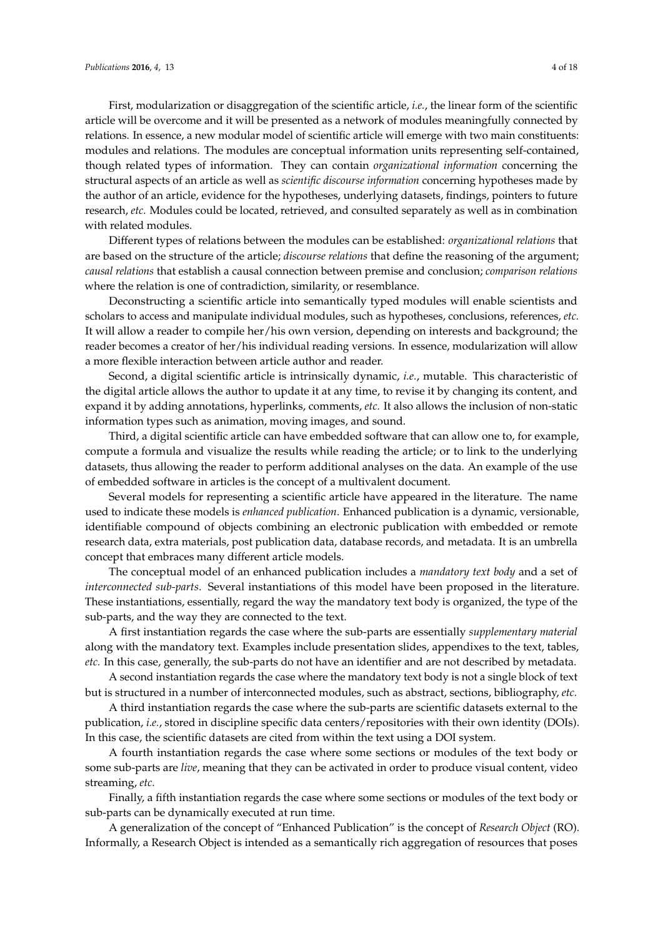First, modularization or disaggregation of the scientific article, *i.e.*, the linear form of the scientific article will be overcome and it will be presented as a network of modules meaningfully connected by relations. In essence, a new modular model of scientific article will emerge with two main constituents: modules and relations. The modules are conceptual information units representing self-contained, though related types of information. They can contain *organizational information* concerning the structural aspects of an article as well as *scientific discourse information* concerning hypotheses made by the author of an article, evidence for the hypotheses, underlying datasets, findings, pointers to future research, *etc.* Modules could be located, retrieved, and consulted separately as well as in combination with related modules.

Different types of relations between the modules can be established: *organizational relations* that are based on the structure of the article; *discourse relations* that define the reasoning of the argument; *causal relations* that establish a causal connection between premise and conclusion; *comparison relations* where the relation is one of contradiction, similarity, or resemblance.

Deconstructing a scientific article into semantically typed modules will enable scientists and scholars to access and manipulate individual modules, such as hypotheses, conclusions, references, *etc.* It will allow a reader to compile her/his own version, depending on interests and background; the reader becomes a creator of her/his individual reading versions. In essence, modularization will allow a more flexible interaction between article author and reader.

Second, a digital scientific article is intrinsically dynamic, *i.e.*, mutable. This characteristic of the digital article allows the author to update it at any time, to revise it by changing its content, and expand it by adding annotations, hyperlinks, comments, *etc.* It also allows the inclusion of non-static information types such as animation, moving images, and sound.

Third, a digital scientific article can have embedded software that can allow one to, for example, compute a formula and visualize the results while reading the article; or to link to the underlying datasets, thus allowing the reader to perform additional analyses on the data. An example of the use of embedded software in articles is the concept of a multivalent document.

Several models for representing a scientific article have appeared in the literature. The name used to indicate these models is *enhanced publication*. Enhanced publication is a dynamic, versionable, identifiable compound of objects combining an electronic publication with embedded or remote research data, extra materials, post publication data, database records, and metadata. It is an umbrella concept that embraces many different article models.

The conceptual model of an enhanced publication includes a *mandatory text body* and a set of *interconnected sub-parts*. Several instantiations of this model have been proposed in the literature. These instantiations, essentially, regard the way the mandatory text body is organized, the type of the sub-parts, and the way they are connected to the text.

A first instantiation regards the case where the sub-parts are essentially *supplementary material* along with the mandatory text. Examples include presentation slides, appendixes to the text, tables, *etc.* In this case, generally, the sub-parts do not have an identifier and are not described by metadata.

A second instantiation regards the case where the mandatory text body is not a single block of text but is structured in a number of interconnected modules, such as abstract, sections, bibliography, *etc.*

A third instantiation regards the case where the sub-parts are scientific datasets external to the publication, *i.e.*, stored in discipline specific data centers/repositories with their own identity (DOIs). In this case, the scientific datasets are cited from within the text using a DOI system.

A fourth instantiation regards the case where some sections or modules of the text body or some sub-parts are *live*, meaning that they can be activated in order to produce visual content, video streaming, *etc.*

Finally, a fifth instantiation regards the case where some sections or modules of the text body or sub-parts can be dynamically executed at run time.

A generalization of the concept of "Enhanced Publication" is the concept of *Research Object* (RO). Informally, a Research Object is intended as a semantically rich aggregation of resources that poses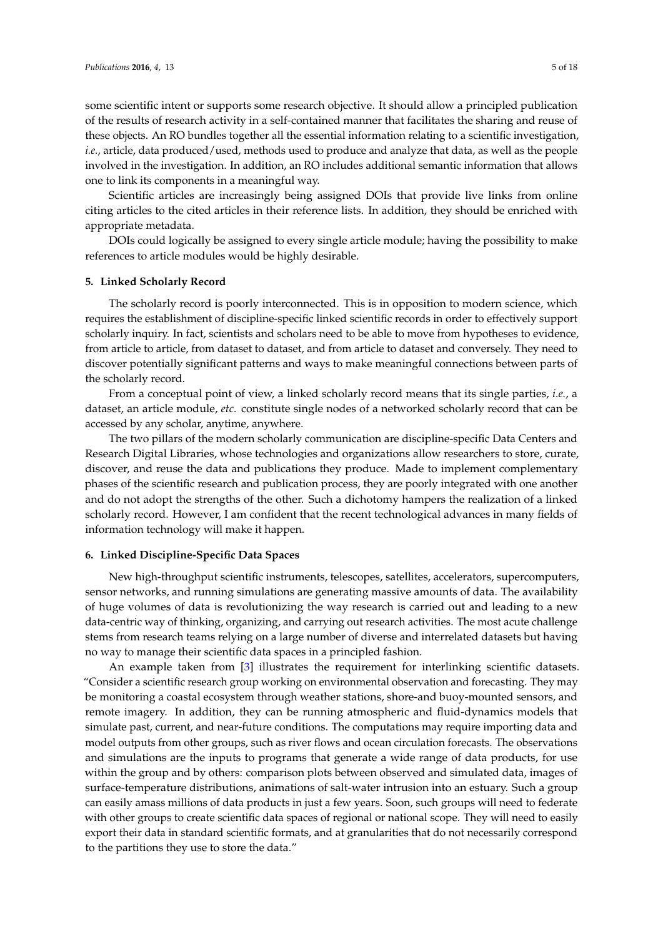some scientific intent or supports some research objective. It should allow a principled publication of the results of research activity in a self-contained manner that facilitates the sharing and reuse of these objects. An RO bundles together all the essential information relating to a scientific investigation, *i.e.*, article, data produced/used, methods used to produce and analyze that data, as well as the people involved in the investigation. In addition, an RO includes additional semantic information that allows one to link its components in a meaningful way.

Scientific articles are increasingly being assigned DOIs that provide live links from online citing articles to the cited articles in their reference lists. In addition, they should be enriched with appropriate metadata.

DOIs could logically be assigned to every single article module; having the possibility to make references to article modules would be highly desirable.

#### <span id="page-4-0"></span>**5. Linked Scholarly Record**

The scholarly record is poorly interconnected. This is in opposition to modern science, which requires the establishment of discipline-specific linked scientific records in order to effectively support scholarly inquiry. In fact, scientists and scholars need to be able to move from hypotheses to evidence, from article to article, from dataset to dataset, and from article to dataset and conversely. They need to discover potentially significant patterns and ways to make meaningful connections between parts of the scholarly record.

From a conceptual point of view, a linked scholarly record means that its single parties, *i.e.*, a dataset, an article module, *etc.* constitute single nodes of a networked scholarly record that can be accessed by any scholar, anytime, anywhere.

The two pillars of the modern scholarly communication are discipline-specific Data Centers and Research Digital Libraries, whose technologies and organizations allow researchers to store, curate, discover, and reuse the data and publications they produce. Made to implement complementary phases of the scientific research and publication process, they are poorly integrated with one another and do not adopt the strengths of the other. Such a dichotomy hampers the realization of a linked scholarly record. However, I am confident that the recent technological advances in many fields of information technology will make it happen.

#### <span id="page-4-1"></span>**6. Linked Discipline-Specific Data Spaces**

New high-throughput scientific instruments, telescopes, satellites, accelerators, supercomputers, sensor networks, and running simulations are generating massive amounts of data. The availability of huge volumes of data is revolutionizing the way research is carried out and leading to a new data-centric way of thinking, organizing, and carrying out research activities. The most acute challenge stems from research teams relying on a large number of diverse and interrelated datasets but having no way to manage their scientific data spaces in a principled fashion.

An example taken from [\[3\]](#page-17-2) illustrates the requirement for interlinking scientific datasets. "Consider a scientific research group working on environmental observation and forecasting. They may be monitoring a coastal ecosystem through weather stations, shore-and buoy-mounted sensors, and remote imagery. In addition, they can be running atmospheric and fluid-dynamics models that simulate past, current, and near-future conditions. The computations may require importing data and model outputs from other groups, such as river flows and ocean circulation forecasts. The observations and simulations are the inputs to programs that generate a wide range of data products, for use within the group and by others: comparison plots between observed and simulated data, images of surface-temperature distributions, animations of salt-water intrusion into an estuary. Such a group can easily amass millions of data products in just a few years. Soon, such groups will need to federate with other groups to create scientific data spaces of regional or national scope. They will need to easily export their data in standard scientific formats, and at granularities that do not necessarily correspond to the partitions they use to store the data."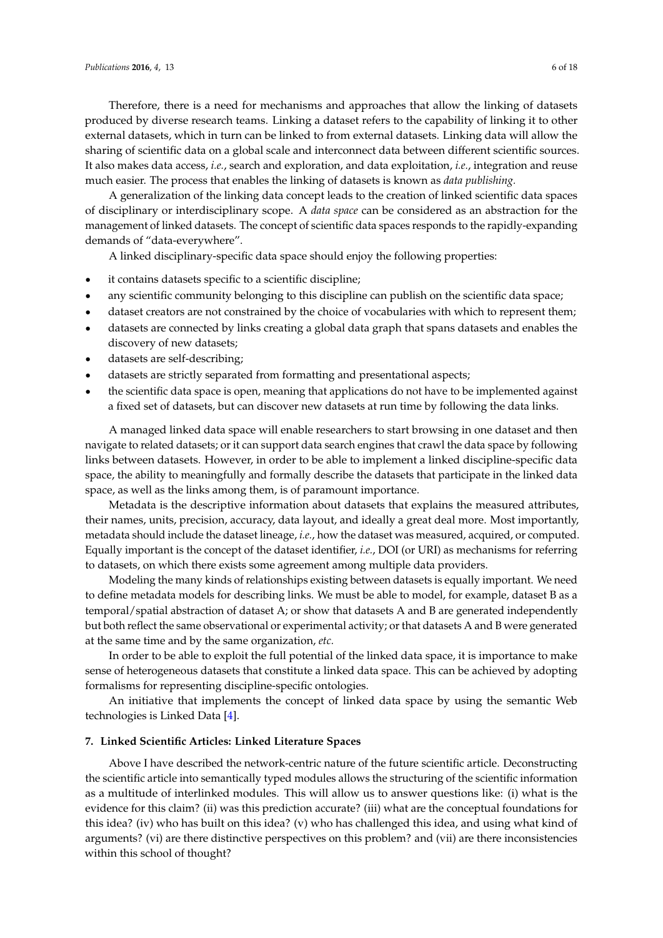Therefore, there is a need for mechanisms and approaches that allow the linking of datasets produced by diverse research teams. Linking a dataset refers to the capability of linking it to other external datasets, which in turn can be linked to from external datasets. Linking data will allow the sharing of scientific data on a global scale and interconnect data between different scientific sources. It also makes data access, *i.e.*, search and exploration, and data exploitation, *i.e.*, integration and reuse much easier. The process that enables the linking of datasets is known as *data publishing.*

A generalization of the linking data concept leads to the creation of linked scientific data spaces of disciplinary or interdisciplinary scope. A *data space* can be considered as an abstraction for the management of linked datasets. The concept of scientific data spaces responds to the rapidly-expanding demands of "data-everywhere".

A linked disciplinary-specific data space should enjoy the following properties:

- ' it contains datasets specific to a scientific discipline;
- ' any scientific community belonging to this discipline can publish on the scientific data space;
- ' dataset creators are not constrained by the choice of vocabularies with which to represent them;
- ' datasets are connected by links creating a global data graph that spans datasets and enables the discovery of new datasets;
- datasets are self-describing;
- datasets are strictly separated from formatting and presentational aspects;
- the scientific data space is open, meaning that applications do not have to be implemented against a fixed set of datasets, but can discover new datasets at run time by following the data links.

A managed linked data space will enable researchers to start browsing in one dataset and then navigate to related datasets; or it can support data search engines that crawl the data space by following links between datasets. However, in order to be able to implement a linked discipline-specific data space, the ability to meaningfully and formally describe the datasets that participate in the linked data space, as well as the links among them, is of paramount importance.

Metadata is the descriptive information about datasets that explains the measured attributes, their names, units, precision, accuracy, data layout, and ideally a great deal more. Most importantly, metadata should include the dataset lineage, *i.e.*, how the dataset was measured, acquired, or computed. Equally important is the concept of the dataset identifier, *i.e.*, DOI (or URI) as mechanisms for referring to datasets, on which there exists some agreement among multiple data providers.

Modeling the many kinds of relationships existing between datasets is equally important. We need to define metadata models for describing links. We must be able to model, for example, dataset B as a temporal/spatial abstraction of dataset A; or show that datasets A and B are generated independently but both reflect the same observational or experimental activity; or that datasets A and B were generated at the same time and by the same organization, *etc.*

In order to be able to exploit the full potential of the linked data space, it is importance to make sense of heterogeneous datasets that constitute a linked data space. This can be achieved by adopting formalisms for representing discipline-specific ontologies.

An initiative that implements the concept of linked data space by using the semantic Web technologies is Linked Data [\[4\]](#page-17-3).

# **7. Linked Scientific Articles: Linked Literature Spaces**

Above I have described the network-centric nature of the future scientific article. Deconstructing the scientific article into semantically typed modules allows the structuring of the scientific information as a multitude of interlinked modules. This will allow us to answer questions like: (i) what is the evidence for this claim? (ii) was this prediction accurate? (iii) what are the conceptual foundations for this idea? (iv) who has built on this idea? (v) who has challenged this idea, and using what kind of arguments? (vi) are there distinctive perspectives on this problem? and (vii) are there inconsistencies within this school of thought?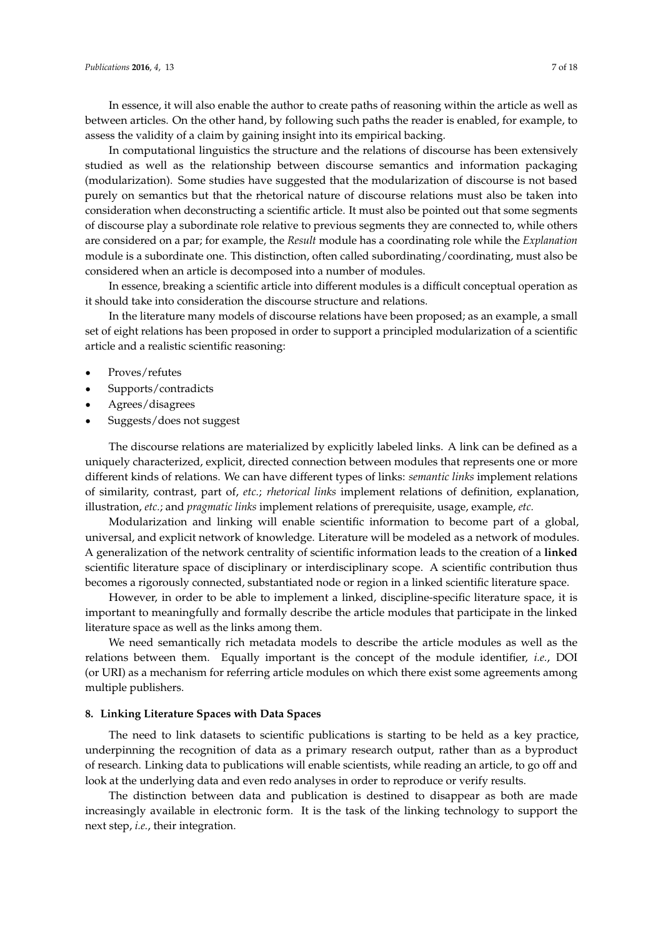In essence, it will also enable the author to create paths of reasoning within the article as well as between articles. On the other hand, by following such paths the reader is enabled, for example, to assess the validity of a claim by gaining insight into its empirical backing.

In computational linguistics the structure and the relations of discourse has been extensively studied as well as the relationship between discourse semantics and information packaging (modularization). Some studies have suggested that the modularization of discourse is not based purely on semantics but that the rhetorical nature of discourse relations must also be taken into consideration when deconstructing a scientific article. It must also be pointed out that some segments of discourse play a subordinate role relative to previous segments they are connected to, while others are considered on a par; for example, the *Result* module has a coordinating role while the *Explanation* module is a subordinate one. This distinction, often called subordinating/coordinating, must also be considered when an article is decomposed into a number of modules.

In essence, breaking a scientific article into different modules is a difficult conceptual operation as it should take into consideration the discourse structure and relations.

In the literature many models of discourse relations have been proposed; as an example, a small set of eight relations has been proposed in order to support a principled modularization of a scientific article and a realistic scientific reasoning:

- Proves/refutes
- ' Supports/contradicts
- Agrees/disagrees
- ' Suggests/does not suggest

The discourse relations are materialized by explicitly labeled links. A link can be defined as a uniquely characterized, explicit, directed connection between modules that represents one or more different kinds of relations. We can have different types of links: *semantic links* implement relations of similarity, contrast, part of, *etc.*; *rhetorical links* implement relations of definition, explanation, illustration, *etc.*; and *pragmatic links* implement relations of prerequisite, usage, example, *etc.*

Modularization and linking will enable scientific information to become part of a global, universal, and explicit network of knowledge. Literature will be modeled as a network of modules. A generalization of the network centrality of scientific information leads to the creation of a **linked** scientific literature space of disciplinary or interdisciplinary scope. A scientific contribution thus becomes a rigorously connected, substantiated node or region in a linked scientific literature space.

However, in order to be able to implement a linked, discipline-specific literature space, it is important to meaningfully and formally describe the article modules that participate in the linked literature space as well as the links among them.

We need semantically rich metadata models to describe the article modules as well as the relations between them. Equally important is the concept of the module identifier, *i.e.*, DOI (or URI) as a mechanism for referring article modules on which there exist some agreements among multiple publishers.

#### **8. Linking Literature Spaces with Data Spaces**

The need to link datasets to scientific publications is starting to be held as a key practice, underpinning the recognition of data as a primary research output, rather than as a byproduct of research. Linking data to publications will enable scientists, while reading an article, to go off and look at the underlying data and even redo analyses in order to reproduce or verify results.

The distinction between data and publication is destined to disappear as both are made increasingly available in electronic form. It is the task of the linking technology to support the next step, *i.e.*, their integration.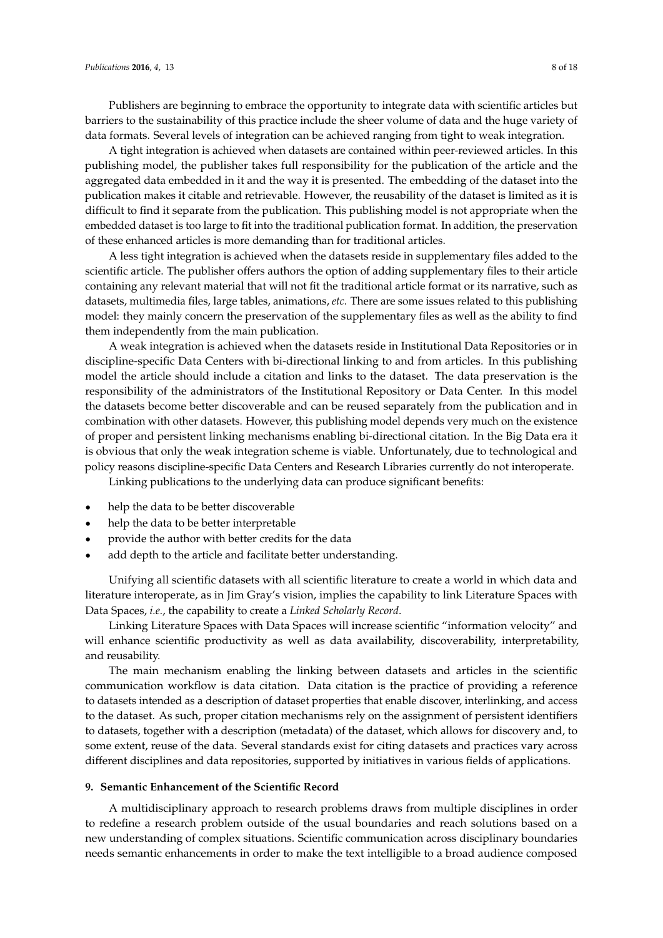Publishers are beginning to embrace the opportunity to integrate data with scientific articles but barriers to the sustainability of this practice include the sheer volume of data and the huge variety of data formats. Several levels of integration can be achieved ranging from tight to weak integration.

A tight integration is achieved when datasets are contained within peer-reviewed articles. In this publishing model, the publisher takes full responsibility for the publication of the article and the aggregated data embedded in it and the way it is presented. The embedding of the dataset into the publication makes it citable and retrievable. However, the reusability of the dataset is limited as it is difficult to find it separate from the publication. This publishing model is not appropriate when the embedded dataset is too large to fit into the traditional publication format. In addition, the preservation of these enhanced articles is more demanding than for traditional articles.

A less tight integration is achieved when the datasets reside in supplementary files added to the scientific article. The publisher offers authors the option of adding supplementary files to their article containing any relevant material that will not fit the traditional article format or its narrative, such as datasets, multimedia files, large tables, animations, *etc.* There are some issues related to this publishing model: they mainly concern the preservation of the supplementary files as well as the ability to find them independently from the main publication.

A weak integration is achieved when the datasets reside in Institutional Data Repositories or in discipline-specific Data Centers with bi-directional linking to and from articles. In this publishing model the article should include a citation and links to the dataset. The data preservation is the responsibility of the administrators of the Institutional Repository or Data Center. In this model the datasets become better discoverable and can be reused separately from the publication and in combination with other datasets. However, this publishing model depends very much on the existence of proper and persistent linking mechanisms enabling bi-directional citation. In the Big Data era it is obvious that only the weak integration scheme is viable. Unfortunately, due to technological and policy reasons discipline-specific Data Centers and Research Libraries currently do not interoperate.

Linking publications to the underlying data can produce significant benefits:

- help the data to be better discoverable
- help the data to be better interpretable
- provide the author with better credits for the data
- add depth to the article and facilitate better understanding.

Unifying all scientific datasets with all scientific literature to create a world in which data and literature interoperate, as in Jim Gray's vision, implies the capability to link Literature Spaces with Data Spaces, *i.e.*, the capability to create a *Linked Scholarly Record*.

Linking Literature Spaces with Data Spaces will increase scientific "information velocity" and will enhance scientific productivity as well as data availability, discoverability, interpretability, and reusability.

The main mechanism enabling the linking between datasets and articles in the scientific communication workflow is data citation. Data citation is the practice of providing a reference to datasets intended as a description of dataset properties that enable discover, interlinking, and access to the dataset. As such, proper citation mechanisms rely on the assignment of persistent identifiers to datasets, together with a description (metadata) of the dataset, which allows for discovery and, to some extent, reuse of the data. Several standards exist for citing datasets and practices vary across different disciplines and data repositories, supported by initiatives in various fields of applications.

# **9. Semantic Enhancement of the Scientific Record**

A multidisciplinary approach to research problems draws from multiple disciplines in order to redefine a research problem outside of the usual boundaries and reach solutions based on a new understanding of complex situations. Scientific communication across disciplinary boundaries needs semantic enhancements in order to make the text intelligible to a broad audience composed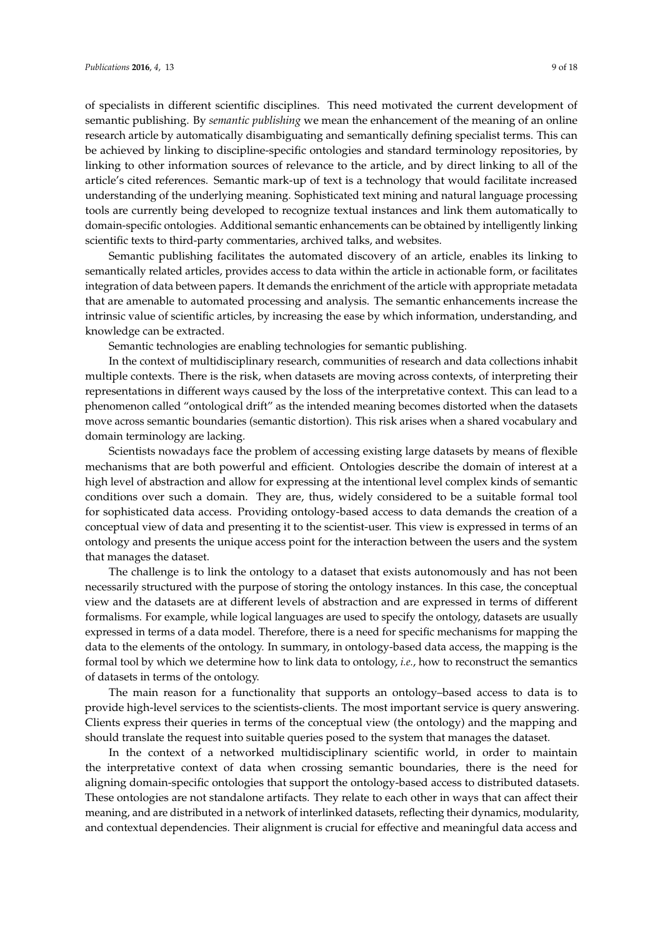of specialists in different scientific disciplines. This need motivated the current development of semantic publishing. By *semantic publishing* we mean the enhancement of the meaning of an online research article by automatically disambiguating and semantically defining specialist terms. This can be achieved by linking to discipline-specific ontologies and standard terminology repositories, by linking to other information sources of relevance to the article, and by direct linking to all of the article's cited references. Semantic mark-up of text is a technology that would facilitate increased understanding of the underlying meaning. Sophisticated text mining and natural language processing tools are currently being developed to recognize textual instances and link them automatically to domain-specific ontologies. Additional semantic enhancements can be obtained by intelligently linking scientific texts to third-party commentaries, archived talks, and websites.

Semantic publishing facilitates the automated discovery of an article, enables its linking to semantically related articles, provides access to data within the article in actionable form, or facilitates integration of data between papers. It demands the enrichment of the article with appropriate metadata that are amenable to automated processing and analysis. The semantic enhancements increase the intrinsic value of scientific articles, by increasing the ease by which information, understanding, and knowledge can be extracted.

Semantic technologies are enabling technologies for semantic publishing.

In the context of multidisciplinary research, communities of research and data collections inhabit multiple contexts. There is the risk, when datasets are moving across contexts, of interpreting their representations in different ways caused by the loss of the interpretative context. This can lead to a phenomenon called "ontological drift" as the intended meaning becomes distorted when the datasets move across semantic boundaries (semantic distortion). This risk arises when a shared vocabulary and domain terminology are lacking.

Scientists nowadays face the problem of accessing existing large datasets by means of flexible mechanisms that are both powerful and efficient. Ontologies describe the domain of interest at a high level of abstraction and allow for expressing at the intentional level complex kinds of semantic conditions over such a domain. They are, thus, widely considered to be a suitable formal tool for sophisticated data access. Providing ontology-based access to data demands the creation of a conceptual view of data and presenting it to the scientist-user. This view is expressed in terms of an ontology and presents the unique access point for the interaction between the users and the system that manages the dataset.

The challenge is to link the ontology to a dataset that exists autonomously and has not been necessarily structured with the purpose of storing the ontology instances. In this case, the conceptual view and the datasets are at different levels of abstraction and are expressed in terms of different formalisms. For example, while logical languages are used to specify the ontology, datasets are usually expressed in terms of a data model. Therefore, there is a need for specific mechanisms for mapping the data to the elements of the ontology. In summary, in ontology-based data access, the mapping is the formal tool by which we determine how to link data to ontology, *i.e.*, how to reconstruct the semantics of datasets in terms of the ontology.

The main reason for a functionality that supports an ontology–based access to data is to provide high-level services to the scientists-clients. The most important service is query answering. Clients express their queries in terms of the conceptual view (the ontology) and the mapping and should translate the request into suitable queries posed to the system that manages the dataset.

In the context of a networked multidisciplinary scientific world, in order to maintain the interpretative context of data when crossing semantic boundaries, there is the need for aligning domain-specific ontologies that support the ontology-based access to distributed datasets. These ontologies are not standalone artifacts. They relate to each other in ways that can affect their meaning, and are distributed in a network of interlinked datasets, reflecting their dynamics, modularity, and contextual dependencies. Their alignment is crucial for effective and meaningful data access and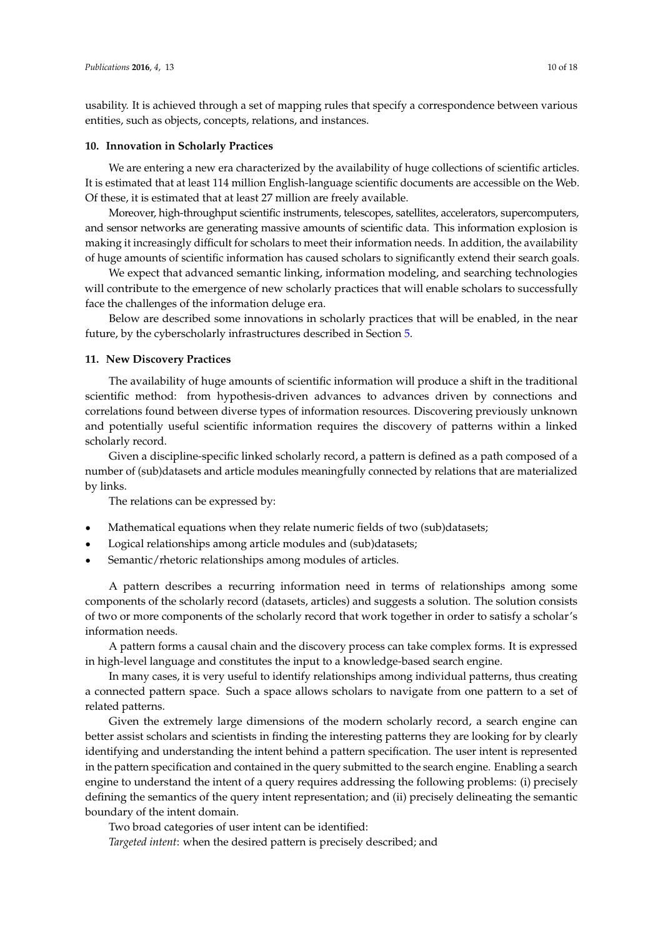usability. It is achieved through a set of mapping rules that specify a correspondence between various entities, such as objects, concepts, relations, and instances.

## **10. Innovation in Scholarly Practices**

We are entering a new era characterized by the availability of huge collections of scientific articles. It is estimated that at least 114 million English-language scientific documents are accessible on the Web. Of these, it is estimated that at least 27 million are freely available.

Moreover, high-throughput scientific instruments, telescopes, satellites, accelerators, supercomputers, and sensor networks are generating massive amounts of scientific data. This information explosion is making it increasingly difficult for scholars to meet their information needs. In addition, the availability of huge amounts of scientific information has caused scholars to significantly extend their search goals.

We expect that advanced semantic linking, information modeling, and searching technologies will contribute to the emergence of new scholarly practices that will enable scholars to successfully face the challenges of the information deluge era.

Below are described some innovations in scholarly practices that will be enabled, in the near future, by the cyberscholarly infrastructures described in Section [5.](#page-4-0)

# **11. New Discovery Practices**

The availability of huge amounts of scientific information will produce a shift in the traditional scientific method: from hypothesis-driven advances to advances driven by connections and correlations found between diverse types of information resources. Discovering previously unknown and potentially useful scientific information requires the discovery of patterns within a linked scholarly record.

Given a discipline-specific linked scholarly record, a pattern is defined as a path composed of a number of (sub)datasets and article modules meaningfully connected by relations that are materialized by links.

The relations can be expressed by:

- ' Mathematical equations when they relate numeric fields of two (sub)datasets;
- Logical relationships among article modules and (sub)datasets;
- Semantic/rhetoric relationships among modules of articles.

A pattern describes a recurring information need in terms of relationships among some components of the scholarly record (datasets, articles) and suggests a solution. The solution consists of two or more components of the scholarly record that work together in order to satisfy a scholar's information needs.

A pattern forms a causal chain and the discovery process can take complex forms. It is expressed in high-level language and constitutes the input to a knowledge-based search engine.

In many cases, it is very useful to identify relationships among individual patterns, thus creating a connected pattern space. Such a space allows scholars to navigate from one pattern to a set of related patterns.

Given the extremely large dimensions of the modern scholarly record, a search engine can better assist scholars and scientists in finding the interesting patterns they are looking for by clearly identifying and understanding the intent behind a pattern specification. The user intent is represented in the pattern specification and contained in the query submitted to the search engine. Enabling a search engine to understand the intent of a query requires addressing the following problems: (i) precisely defining the semantics of the query intent representation; and (ii) precisely delineating the semantic boundary of the intent domain.

Two broad categories of user intent can be identified:

*Targeted intent*: when the desired pattern is precisely described; and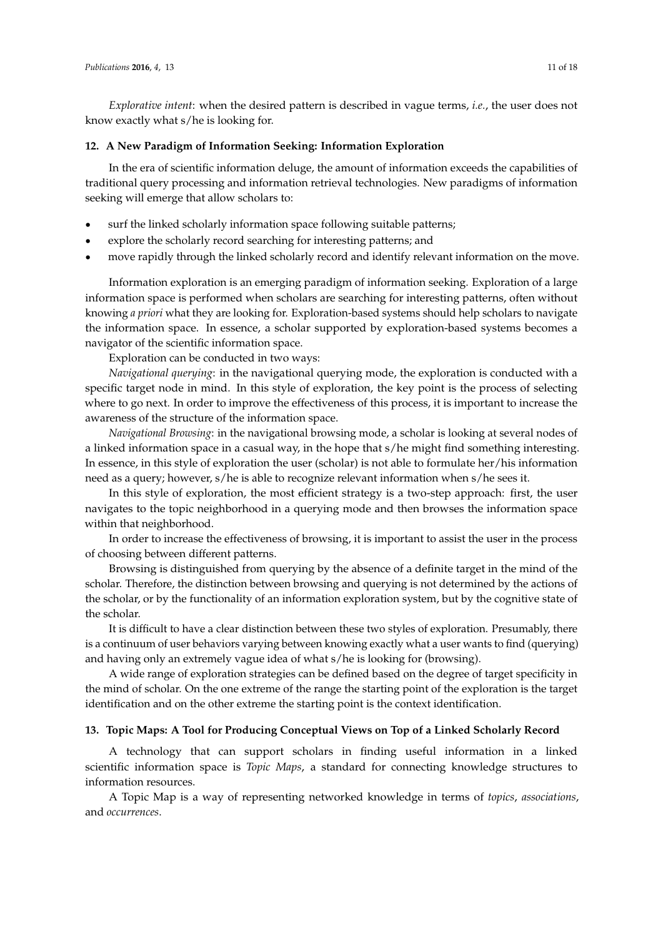*Explorative intent*: when the desired pattern is described in vague terms, *i.e.*, the user does not know exactly what s/he is looking for.

# **12. A New Paradigm of Information Seeking: Information Exploration**

In the era of scientific information deluge, the amount of information exceeds the capabilities of traditional query processing and information retrieval technologies. New paradigms of information seeking will emerge that allow scholars to:

- surf the linked scholarly information space following suitable patterns;
- ' explore the scholarly record searching for interesting patterns; and
- ' move rapidly through the linked scholarly record and identify relevant information on the move.

Information exploration is an emerging paradigm of information seeking. Exploration of a large information space is performed when scholars are searching for interesting patterns, often without knowing *a priori* what they are looking for. Exploration-based systems should help scholars to navigate the information space. In essence, a scholar supported by exploration-based systems becomes a navigator of the scientific information space.

Exploration can be conducted in two ways:

*Navigational querying*: in the navigational querying mode, the exploration is conducted with a specific target node in mind. In this style of exploration, the key point is the process of selecting where to go next. In order to improve the effectiveness of this process, it is important to increase the awareness of the structure of the information space.

*Navigational Browsing*: in the navigational browsing mode, a scholar is looking at several nodes of a linked information space in a casual way, in the hope that s/he might find something interesting. In essence, in this style of exploration the user (scholar) is not able to formulate her/his information need as a query; however, s/he is able to recognize relevant information when s/he sees it.

In this style of exploration, the most efficient strategy is a two-step approach: first, the user navigates to the topic neighborhood in a querying mode and then browses the information space within that neighborhood.

In order to increase the effectiveness of browsing, it is important to assist the user in the process of choosing between different patterns.

Browsing is distinguished from querying by the absence of a definite target in the mind of the scholar. Therefore, the distinction between browsing and querying is not determined by the actions of the scholar, or by the functionality of an information exploration system, but by the cognitive state of the scholar.

It is difficult to have a clear distinction between these two styles of exploration. Presumably, there is a continuum of user behaviors varying between knowing exactly what a user wants to find (querying) and having only an extremely vague idea of what s/he is looking for (browsing).

A wide range of exploration strategies can be defined based on the degree of target specificity in the mind of scholar. On the one extreme of the range the starting point of the exploration is the target identification and on the other extreme the starting point is the context identification.

# **13. Topic Maps: A Tool for Producing Conceptual Views on Top of a Linked Scholarly Record**

A technology that can support scholars in finding useful information in a linked scientific information space is *Topic Maps*, a standard for connecting knowledge structures to information resources.

A Topic Map is a way of representing networked knowledge in terms of *topics*, *associations*, and *occurrences*.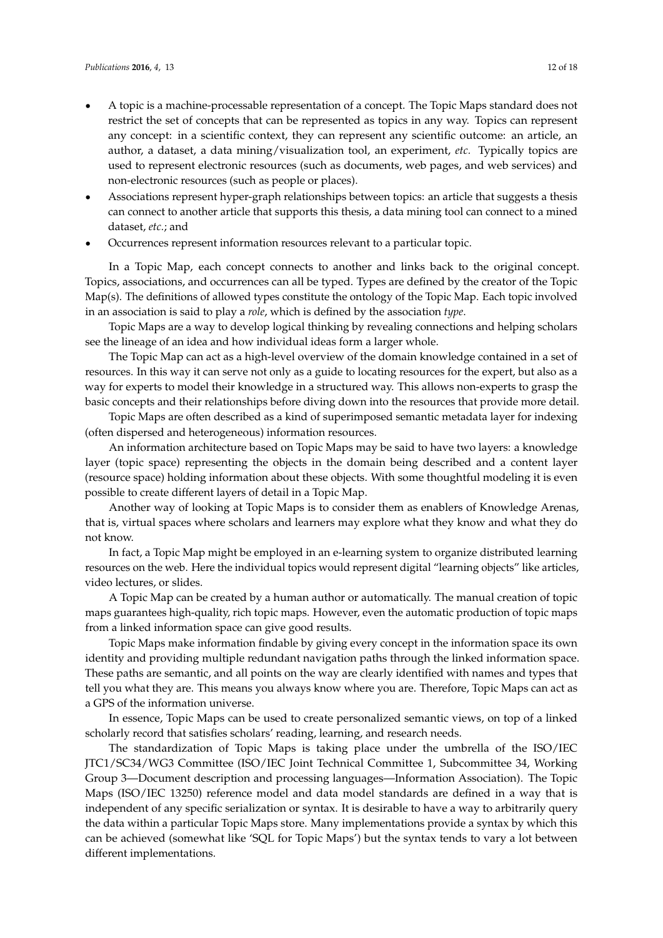- ' A topic is a machine-processable representation of a concept. The Topic Maps standard does not restrict the set of concepts that can be represented as topics in any way. Topics can represent any concept: in a scientific context, they can represent any scientific outcome: an article, an author, a dataset, a data mining/visualization tool, an experiment, *etc.* Typically topics are used to represent electronic resources (such as documents, web pages, and web services) and non-electronic resources (such as people or places).
- Associations represent hyper-graph relationships between topics: an article that suggests a thesis can connect to another article that supports this thesis, a data mining tool can connect to a mined dataset, *etc.*; and
- ' Occurrences represent information resources relevant to a particular topic.

In a Topic Map, each concept connects to another and links back to the original concept. Topics, associations, and occurrences can all be typed. Types are defined by the creator of the Topic Map(s). The definitions of allowed types constitute the ontology of the Topic Map. Each topic involved in an association is said to play a *role*, which is defined by the association *type*.

Topic Maps are a way to develop logical thinking by revealing connections and helping scholars see the lineage of an idea and how individual ideas form a larger whole.

The Topic Map can act as a high-level overview of the domain knowledge contained in a set of resources. In this way it can serve not only as a guide to locating resources for the expert, but also as a way for experts to model their knowledge in a structured way. This allows non-experts to grasp the basic concepts and their relationships before diving down into the resources that provide more detail.

Topic Maps are often described as a kind of superimposed semantic metadata layer for indexing (often dispersed and heterogeneous) information resources.

An information architecture based on Topic Maps may be said to have two layers: a knowledge layer (topic space) representing the objects in the domain being described and a content layer (resource space) holding information about these objects. With some thoughtful modeling it is even possible to create different layers of detail in a Topic Map.

Another way of looking at Topic Maps is to consider them as enablers of Knowledge Arenas, that is, virtual spaces where scholars and learners may explore what they know and what they do not know.

In fact, a Topic Map might be employed in an e-learning system to organize distributed learning resources on the web. Here the individual topics would represent digital "learning objects" like articles, video lectures, or slides.

A Topic Map can be created by a human author or automatically. The manual creation of topic maps guarantees high-quality, rich topic maps. However, even the automatic production of topic maps from a linked information space can give good results.

Topic Maps make information findable by giving every concept in the information space its own identity and providing multiple redundant navigation paths through the linked information space. These paths are semantic, and all points on the way are clearly identified with names and types that tell you what they are. This means you always know where you are. Therefore, Topic Maps can act as a GPS of the information universe.

In essence, Topic Maps can be used to create personalized semantic views, on top of a linked scholarly record that satisfies scholars' reading, learning, and research needs.

The standardization of Topic Maps is taking place under the umbrella of the ISO/IEC JTC1/SC34/WG3 Committee (ISO/IEC Joint Technical Committee 1, Subcommittee 34, Working Group 3—Document description and processing languages—Information Association). The Topic Maps (ISO/IEC 13250) reference model and data model standards are defined in a way that is independent of any specific serialization or syntax. It is desirable to have a way to arbitrarily query the data within a particular Topic Maps store. Many implementations provide a syntax by which this can be achieved (somewhat like 'SQL for Topic Maps') but the syntax tends to vary a lot between different implementations.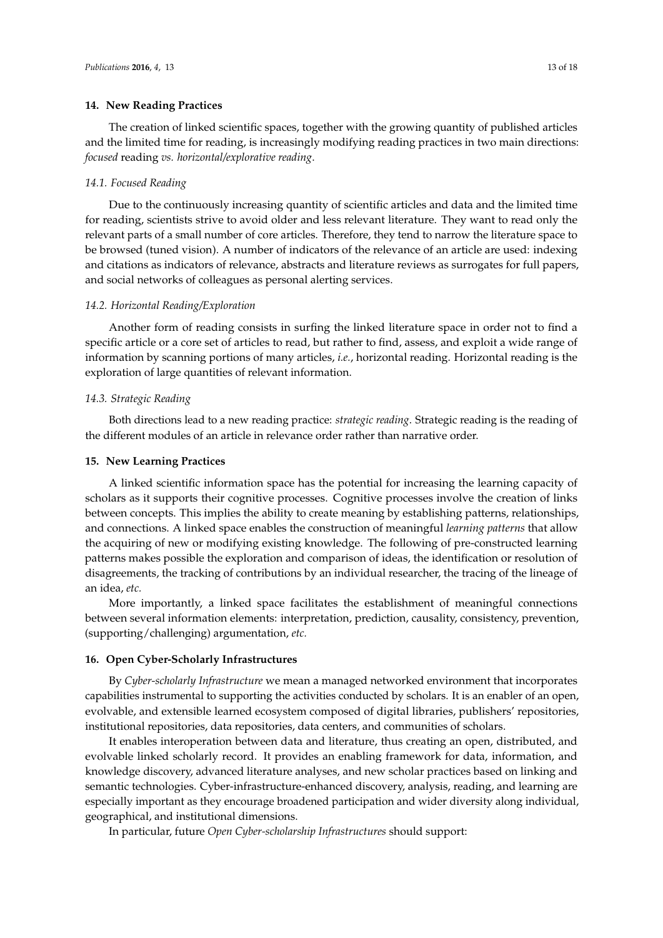#### **14. New Reading Practices**

The creation of linked scientific spaces, together with the growing quantity of published articles and the limited time for reading, is increasingly modifying reading practices in two main directions: *focused* reading *vs. horizontal/explorative reading*.

#### *14.1. Focused Reading*

Due to the continuously increasing quantity of scientific articles and data and the limited time for reading, scientists strive to avoid older and less relevant literature. They want to read only the relevant parts of a small number of core articles. Therefore, they tend to narrow the literature space to be browsed (tuned vision). A number of indicators of the relevance of an article are used: indexing and citations as indicators of relevance, abstracts and literature reviews as surrogates for full papers, and social networks of colleagues as personal alerting services.

#### *14.2. Horizontal Reading/Exploration*

Another form of reading consists in surfing the linked literature space in order not to find a specific article or a core set of articles to read, but rather to find, assess, and exploit a wide range of information by scanning portions of many articles, *i.e.*, horizontal reading. Horizontal reading is the exploration of large quantities of relevant information.

#### *14.3. Strategic Reading*

Both directions lead to a new reading practice: *strategic reading*. Strategic reading is the reading of the different modules of an article in relevance order rather than narrative order.

#### **15. New Learning Practices**

A linked scientific information space has the potential for increasing the learning capacity of scholars as it supports their cognitive processes. Cognitive processes involve the creation of links between concepts. This implies the ability to create meaning by establishing patterns, relationships, and connections. A linked space enables the construction of meaningful *learning patterns* that allow the acquiring of new or modifying existing knowledge. The following of pre-constructed learning patterns makes possible the exploration and comparison of ideas, the identification or resolution of disagreements, the tracking of contributions by an individual researcher, the tracing of the lineage of an idea, *etc.*

More importantly, a linked space facilitates the establishment of meaningful connections between several information elements: interpretation, prediction, causality, consistency, prevention, (supporting/challenging) argumentation, *etc.*

#### **16. Open Cyber-Scholarly Infrastructures**

By *Cyber-scholarly Infrastructure* we mean a managed networked environment that incorporates capabilities instrumental to supporting the activities conducted by scholars. It is an enabler of an open, evolvable, and extensible learned ecosystem composed of digital libraries, publishers' repositories, institutional repositories, data repositories, data centers, and communities of scholars.

It enables interoperation between data and literature, thus creating an open, distributed, and evolvable linked scholarly record. It provides an enabling framework for data, information, and knowledge discovery, advanced literature analyses, and new scholar practices based on linking and semantic technologies. Cyber-infrastructure-enhanced discovery, analysis, reading, and learning are especially important as they encourage broadened participation and wider diversity along individual, geographical, and institutional dimensions.

In particular, future *Open Cyber-scholarship Infrastructures* should support: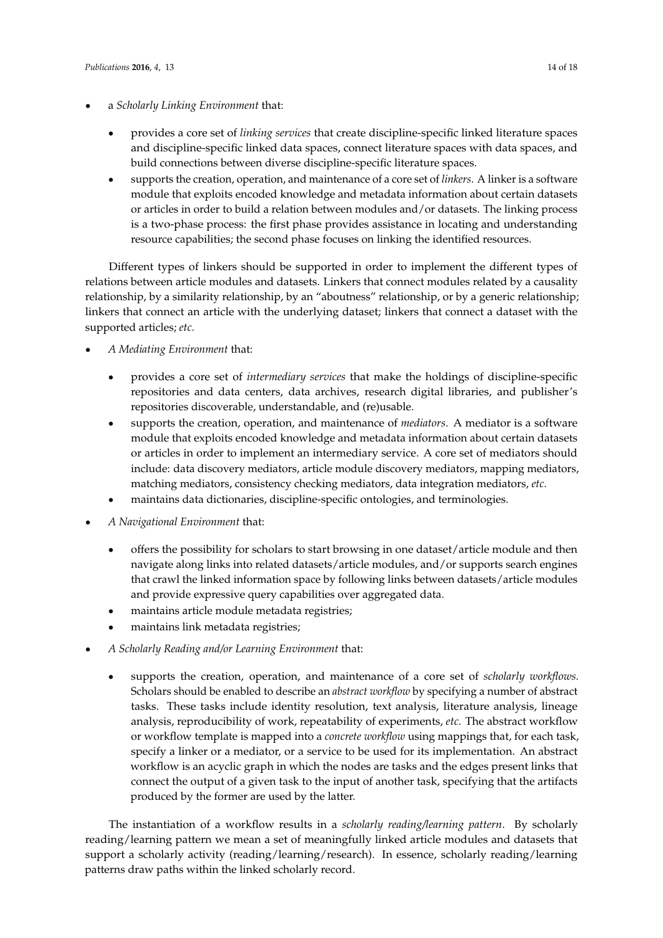- ' a *Scholarly Linking Environment* that:
	- ' provides a core set of *linking services* that create discipline-specific linked literature spaces and discipline-specific linked data spaces, connect literature spaces with data spaces, and build connections between diverse discipline-specific literature spaces.
	- ' supports the creation, operation, and maintenance of a core set of *linkers*. A linker is a software module that exploits encoded knowledge and metadata information about certain datasets or articles in order to build a relation between modules and/or datasets. The linking process is a two-phase process: the first phase provides assistance in locating and understanding resource capabilities; the second phase focuses on linking the identified resources.

Different types of linkers should be supported in order to implement the different types of relations between article modules and datasets. Linkers that connect modules related by a causality relationship, by a similarity relationship, by an "aboutness" relationship, or by a generic relationship; linkers that connect an article with the underlying dataset; linkers that connect a dataset with the supported articles; *etc.*

- ' *A Mediating Environment* that:
	- ' provides a core set of *intermediary services* that make the holdings of discipline-specific repositories and data centers, data archives, research digital libraries, and publisher's repositories discoverable, understandable, and (re)usable.
	- ' supports the creation, operation, and maintenance of *mediators*. A mediator is a software module that exploits encoded knowledge and metadata information about certain datasets or articles in order to implement an intermediary service. A core set of mediators should include: data discovery mediators, article module discovery mediators, mapping mediators, matching mediators, consistency checking mediators, data integration mediators, *etc.*
	- ' maintains data dictionaries, discipline-specific ontologies, and terminologies.
- ' *A Navigational Environment* that:
	- ' offers the possibility for scholars to start browsing in one dataset/article module and then navigate along links into related datasets/article modules, and/or supports search engines that crawl the linked information space by following links between datasets/article modules and provide expressive query capabilities over aggregated data.
	- maintains article module metadata registries;
	- ' maintains link metadata registries;
- ' *A Scholarly Reading and/or Learning Environment* that:
	- ' supports the creation, operation, and maintenance of a core set of *scholarly workflows.* Scholars should be enabled to describe an *abstract workflow* by specifying a number of abstract tasks. These tasks include identity resolution, text analysis, literature analysis, lineage analysis, reproducibility of work, repeatability of experiments, *etc.* The abstract workflow or workflow template is mapped into a *concrete workflow* using mappings that, for each task, specify a linker or a mediator, or a service to be used for its implementation. An abstract workflow is an acyclic graph in which the nodes are tasks and the edges present links that connect the output of a given task to the input of another task, specifying that the artifacts produced by the former are used by the latter.

The instantiation of a workflow results in a *scholarly reading/learning pattern*. By scholarly reading/learning pattern we mean a set of meaningfully linked article modules and datasets that support a scholarly activity (reading/learning/research). In essence, scholarly reading/learning patterns draw paths within the linked scholarly record.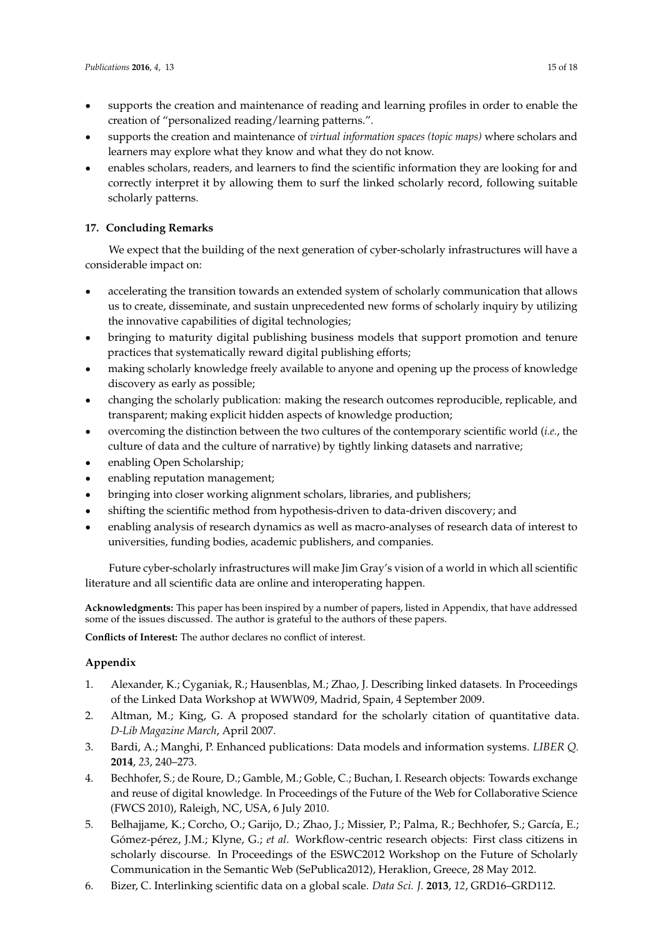- supports the creation and maintenance of reading and learning profiles in order to enable the creation of "personalized reading/learning patterns.".
- ' supports the creation and maintenance of *virtual information spaces (topic maps)* where scholars and learners may explore what they know and what they do not know.
- ' enables scholars, readers, and learners to find the scientific information they are looking for and correctly interpret it by allowing them to surf the linked scholarly record, following suitable scholarly patterns.

# **17. Concluding Remarks**

We expect that the building of the next generation of cyber-scholarly infrastructures will have a considerable impact on:

- ' accelerating the transition towards an extended system of scholarly communication that allows us to create, disseminate, and sustain unprecedented new forms of scholarly inquiry by utilizing the innovative capabilities of digital technologies;
- ' bringing to maturity digital publishing business models that support promotion and tenure practices that systematically reward digital publishing efforts;
- ' making scholarly knowledge freely available to anyone and opening up the process of knowledge discovery as early as possible;
- ' changing the scholarly publication: making the research outcomes reproducible, replicable, and transparent; making explicit hidden aspects of knowledge production;
- ' overcoming the distinction between the two cultures of the contemporary scientific world (*i.e.*, the culture of data and the culture of narrative) by tightly linking datasets and narrative;
- ' enabling Open Scholarship;
- ' enabling reputation management;
- ' bringing into closer working alignment scholars, libraries, and publishers;
- ' shifting the scientific method from hypothesis-driven to data-driven discovery; and
- ' enabling analysis of research dynamics as well as macro-analyses of research data of interest to universities, funding bodies, academic publishers, and companies.

Future cyber-scholarly infrastructures will make Jim Gray's vision of a world in which all scientific literature and all scientific data are online and interoperating happen.

**Acknowledgments:** This paper has been inspired by a number of papers, listed in Appendix, that have addressed some of the issues discussed. The author is grateful to the authors of these papers.

**Conflicts of Interest:** The author declares no conflict of interest.

# **Appendix**

- 1. Alexander, K.; Cyganiak, R.; Hausenblas, M.; Zhao, J. Describing linked datasets. In Proceedings of the Linked Data Workshop at WWW09, Madrid, Spain, 4 September 2009.
- 2. Altman, M.; King, G. A proposed standard for the scholarly citation of quantitative data. *D-Lib Magazine March*, April 2007.
- 3. Bardi, A.; Manghi, P. Enhanced publications: Data models and information systems. *LIBER Q.* **2014**, *23*, 240–273.
- 4. Bechhofer, S.; de Roure, D.; Gamble, M.; Goble, C.; Buchan, I. Research objects: Towards exchange and reuse of digital knowledge. In Proceedings of the Future of the Web for Collaborative Science (FWCS 2010), Raleigh, NC, USA, 6 July 2010.
- 5. Belhajjame, K.; Corcho, O.; Garijo, D.; Zhao, J.; Missier, P.; Palma, R.; Bechhofer, S.; García, E.; Gómez-pérez, J.M.; Klyne, G.; *et al*. Workflow-centric research objects: First class citizens in scholarly discourse. In Proceedings of the ESWC2012 Workshop on the Future of Scholarly Communication in the Semantic Web (SePublica2012), Heraklion, Greece, 28 May 2012.
- 6. Bizer, C. Interlinking scientific data on a global scale. *Data Sci. J.* **2013**, *12*, GRD16–GRD112.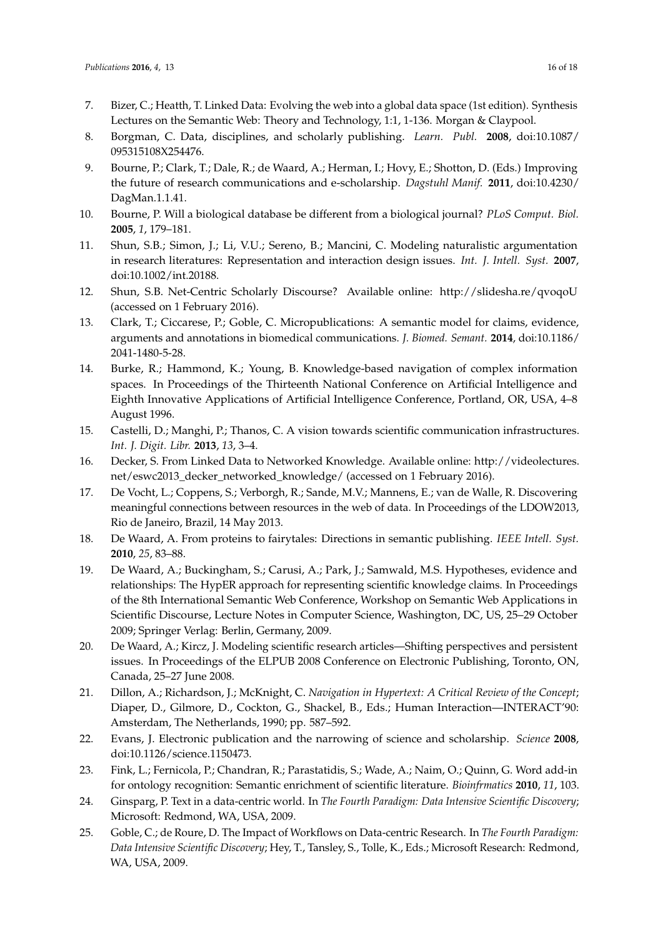- 7. Bizer, C.; Heatth, T. Linked Data: Evolving the web into a global data space (1st edition). Synthesis Lectures on the Semantic Web: Theory and Technology, 1:1, 1-136. Morgan & Claypool.
- 8. Borgman, C. Data, disciplines, and scholarly publishing. *Learn. Publ.* **2008**, doi:10.1087/ 095315108X254476.
- 9. Bourne, P.; Clark, T.; Dale, R.; de Waard, A.; Herman, I.; Hovy, E.; Shotton, D. (Eds.) Improving the future of research communications and e-scholarship. *Dagstuhl Manif.* **2011**, doi:10.4230/ DagMan.1.1.41.
- 10. Bourne, P. Will a biological database be different from a biological journal? *PLoS Comput. Biol.* **2005**, *1*, 179–181.
- 11. Shun, S.B.; Simon, J.; Li, V.U.; Sereno, B.; Mancini, C. Modeling naturalistic argumentation in research literatures: Representation and interaction design issues. *Int. J. Intell. Syst.* **2007**, doi:10.1002/int.20188.
- 12. Shun, S.B. Net-Centric Scholarly Discourse? Available online: http://slidesha.re/qvoqoU (accessed on 1 February 2016).
- 13. Clark, T.; Ciccarese, P.; Goble, C. Micropublications: A semantic model for claims, evidence, arguments and annotations in biomedical communications. *J. Biomed. Semant.* **2014**, doi:10.1186/ 2041-1480-5-28.
- 14. Burke, R.; Hammond, K.; Young, B. Knowledge-based navigation of complex information spaces. In Proceedings of the Thirteenth National Conference on Artificial Intelligence and Eighth Innovative Applications of Artificial Intelligence Conference, Portland, OR, USA, 4–8 August 1996.
- 15. Castelli, D.; Manghi, P.; Thanos, C. A vision towards scientific communication infrastructures. *Int. J. Digit. Libr.* **2013**, *13*, 3–4.
- 16. Decker, S. From Linked Data to Networked Knowledge. Available online: http://videolectures. net/eswc2013\_decker\_networked\_knowledge/ (accessed on 1 February 2016).
- 17. De Vocht, L.; Coppens, S.; Verborgh, R.; Sande, M.V.; Mannens, E.; van de Walle, R. Discovering meaningful connections between resources in the web of data. In Proceedings of the LDOW2013, Rio de Janeiro, Brazil, 14 May 2013.
- 18. De Waard, A. From proteins to fairytales: Directions in semantic publishing. *IEEE Intell. Syst.* **2010**, *25*, 83–88.
- 19. De Waard, A.; Buckingham, S.; Carusi, A.; Park, J.; Samwald, M.S. Hypotheses, evidence and relationships: The HypER approach for representing scientific knowledge claims. In Proceedings of the 8th International Semantic Web Conference, Workshop on Semantic Web Applications in Scientific Discourse, Lecture Notes in Computer Science, Washington, DC, US, 25–29 October 2009; Springer Verlag: Berlin, Germany, 2009.
- 20. De Waard, A.; Kircz, J. Modeling scientific research articles—Shifting perspectives and persistent issues. In Proceedings of the ELPUB 2008 Conference on Electronic Publishing, Toronto, ON, Canada, 25–27 June 2008.
- 21. Dillon, A.; Richardson, J.; McKnight, C. *Navigation in Hypertext: A Critical Review of the Concept*; Diaper, D., Gilmore, D., Cockton, G., Shackel, B., Eds.; Human Interaction—INTERACT'90: Amsterdam, The Netherlands, 1990; pp. 587–592.
- 22. Evans, J. Electronic publication and the narrowing of science and scholarship. *Science* **2008**, doi:10.1126/science.1150473.
- 23. Fink, L.; Fernicola, P.; Chandran, R.; Parastatidis, S.; Wade, A.; Naim, O.; Quinn, G. Word add-in for ontology recognition: Semantic enrichment of scientific literature. *Bioinfrmatics* **2010**, *11*, 103.
- 24. Ginsparg, P. Text in a data-centric world. In *The Fourth Paradigm: Data Intensive Scientific Discovery*; Microsoft: Redmond, WA, USA, 2009.
- 25. Goble, C.; de Roure, D. The Impact of Workflows on Data-centric Research. In *The Fourth Paradigm: Data Intensive Scientific Discovery*; Hey, T., Tansley, S., Tolle, K., Eds.; Microsoft Research: Redmond, WA, USA, 2009.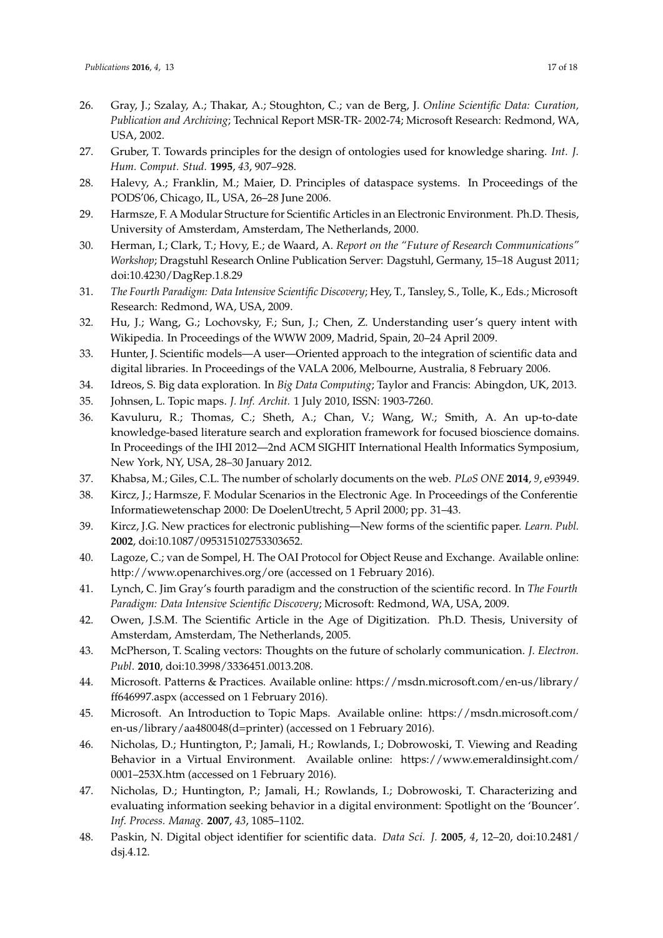- 26. Gray, J.; Szalay, A.; Thakar, A.; Stoughton, C.; van de Berg, J. *Online Scientific Data: Curation, Publication and Archiving*; Technical Report MSR-TR- 2002-74; Microsoft Research: Redmond, WA, USA, 2002.
- 27. Gruber, T. Towards principles for the design of ontologies used for knowledge sharing. *Int. J. Hum. Comput. Stud.* **1995**, *43*, 907–928.
- 28. Halevy, A.; Franklin, M.; Maier, D. Principles of dataspace systems. In Proceedings of the PODS'06, Chicago, IL, USA, 26–28 June 2006.
- 29. Harmsze, F. A Modular Structure for Scientific Articles in an Electronic Environment. Ph.D. Thesis, University of Amsterdam, Amsterdam, The Netherlands, 2000.
- 30. Herman, I.; Clark, T.; Hovy, E.; de Waard, A. *Report on the "Future of Research Communications" Workshop*; Dragstuhl Research Online Publication Server: Dagstuhl, Germany, 15–18 August 2011; doi:10.4230/DagRep.1.8.29
- 31. *The Fourth Paradigm: Data Intensive Scientific Discovery*; Hey, T., Tansley, S., Tolle, K., Eds.; Microsoft Research: Redmond, WA, USA, 2009.
- 32. Hu, J.; Wang, G.; Lochovsky, F.; Sun, J.; Chen, Z. Understanding user's query intent with Wikipedia. In Proceedings of the WWW 2009, Madrid, Spain, 20–24 April 2009.
- 33. Hunter, J. Scientific models—A user—Oriented approach to the integration of scientific data and digital libraries. In Proceedings of the VALA 2006, Melbourne, Australia, 8 February 2006.
- 34. Idreos, S. Big data exploration. In *Big Data Computing*; Taylor and Francis: Abingdon, UK, 2013.
- 35. Johnsen, L. Topic maps. *J. Inf. Archit.* 1 July 2010, ISSN: 1903-7260.
- 36. Kavuluru, R.; Thomas, C.; Sheth, A.; Chan, V.; Wang, W.; Smith, A. An up-to-date knowledge-based literature search and exploration framework for focused bioscience domains. In Proceedings of the IHI 2012—2nd ACM SIGHIT International Health Informatics Symposium, New York, NY, USA, 28–30 January 2012.
- 37. Khabsa, M.; Giles, C.L. The number of scholarly documents on the web. *PLoS ONE* **2014**, *9*, e93949.
- 38. Kircz, J.; Harmsze, F. Modular Scenarios in the Electronic Age. In Proceedings of the Conferentie Informatiewetenschap 2000: De DoelenUtrecht, 5 April 2000; pp. 31–43.
- 39. Kircz, J.G. New practices for electronic publishing—New forms of the scientific paper. *Learn. Publ.* **2002**, doi:10.1087/095315102753303652.
- 40. Lagoze, C.; van de Sompel, H. The OAI Protocol for Object Reuse and Exchange. Available online: http://www.openarchives.org/ore (accessed on 1 February 2016).
- 41. Lynch, C. Jim Gray's fourth paradigm and the construction of the scientific record. In *The Fourth Paradigm: Data Intensive Scientific Discovery*; Microsoft: Redmond, WA, USA, 2009.
- 42. Owen, J.S.M. The Scientific Article in the Age of Digitization. Ph.D. Thesis, University of Amsterdam, Amsterdam, The Netherlands, 2005.
- 43. McPherson, T. Scaling vectors: Thoughts on the future of scholarly communication. *J. Electron. Publ*. **2010**, doi:10.3998/3336451.0013.208.
- 44. Microsoft. Patterns & Practices. Available online: https://msdn.microsoft.com/en-us/library/ ff646997.aspx (accessed on 1 February 2016).
- 45. Microsoft. An Introduction to Topic Maps. Available online: https://msdn.microsoft.com/ en-us/library/aa480048(d=printer) (accessed on 1 February 2016).
- 46. Nicholas, D.; Huntington, P.; Jamali, H.; Rowlands, I.; Dobrowoski, T. Viewing and Reading Behavior in a Virtual Environment. Available online: https://www.emeraldinsight.com/ 0001–253X.htm (accessed on 1 February 2016).
- 47. Nicholas, D.; Huntington, P.; Jamali, H.; Rowlands, I.; Dobrowoski, T. Characterizing and evaluating information seeking behavior in a digital environment: Spotlight on the 'Bouncer'. *Inf. Process. Manag.* **2007**, *43*, 1085–1102.
- 48. Paskin, N. Digital object identifier for scientific data. *Data Sci. J.* **2005**, *4*, 12–20, doi:10.2481/ dsj.4.12.